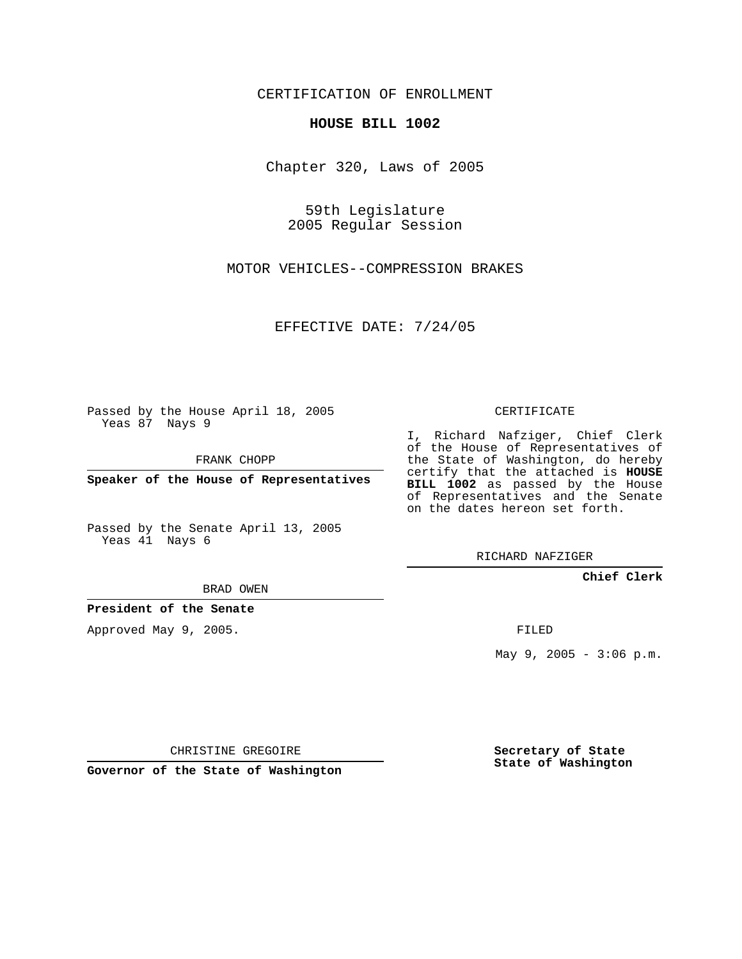CERTIFICATION OF ENROLLMENT

## **HOUSE BILL 1002**

Chapter 320, Laws of 2005

59th Legislature 2005 Regular Session

MOTOR VEHICLES--COMPRESSION BRAKES

EFFECTIVE DATE: 7/24/05

Passed by the House April 18, 2005 Yeas 87 Nays 9

FRANK CHOPP

**Speaker of the House of Representatives**

Passed by the Senate April 13, 2005 Yeas 41 Nays 6

BRAD OWEN

**President of the Senate**

Approved May 9, 2005.

CERTIFICATE

I, Richard Nafziger, Chief Clerk of the House of Representatives of the State of Washington, do hereby certify that the attached is **HOUSE BILL 1002** as passed by the House of Representatives and the Senate on the dates hereon set forth.

RICHARD NAFZIGER

**Chief Clerk**

FILED

May  $9, 2005 - 3:06 p.m.$ 

CHRISTINE GREGOIRE

**Governor of the State of Washington**

**Secretary of State State of Washington**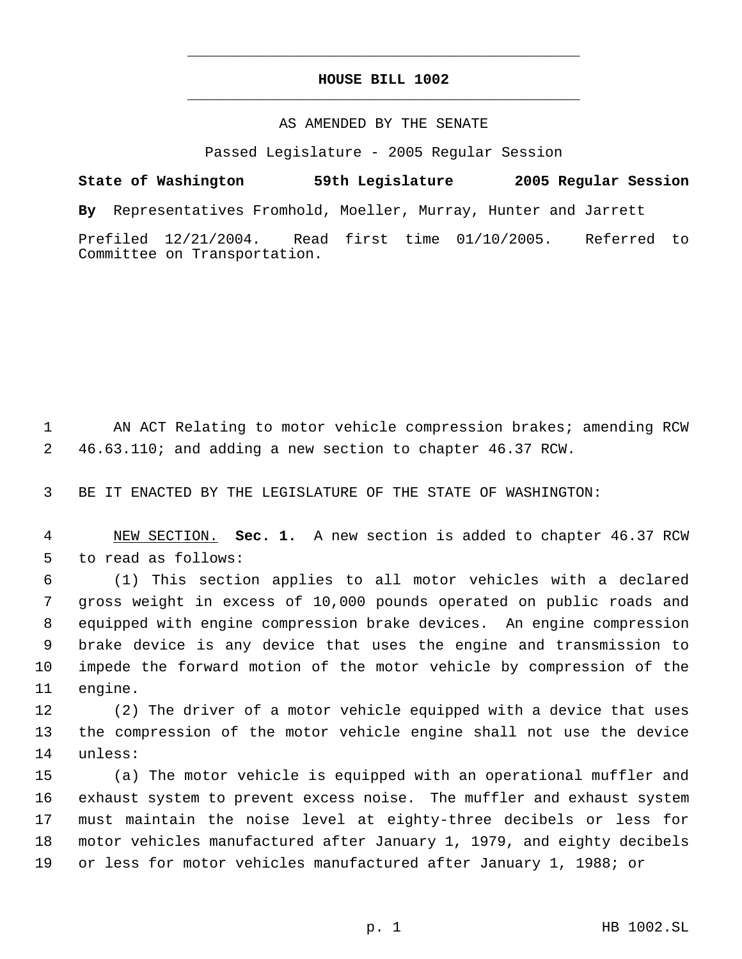## **HOUSE BILL 1002** \_\_\_\_\_\_\_\_\_\_\_\_\_\_\_\_\_\_\_\_\_\_\_\_\_\_\_\_\_\_\_\_\_\_\_\_\_\_\_\_\_\_\_\_\_

\_\_\_\_\_\_\_\_\_\_\_\_\_\_\_\_\_\_\_\_\_\_\_\_\_\_\_\_\_\_\_\_\_\_\_\_\_\_\_\_\_\_\_\_\_

## AS AMENDED BY THE SENATE

Passed Legislature - 2005 Regular Session

**State of Washington 59th Legislature 2005 Regular Session By** Representatives Fromhold, Moeller, Murray, Hunter and Jarrett Prefiled 12/21/2004. Read first time 01/10/2005. Referred to Committee on Transportation.

 AN ACT Relating to motor vehicle compression brakes; amending RCW 46.63.110; and adding a new section to chapter 46.37 RCW.

BE IT ENACTED BY THE LEGISLATURE OF THE STATE OF WASHINGTON:

 NEW SECTION. **Sec. 1.** A new section is added to chapter 46.37 RCW to read as follows:

 (1) This section applies to all motor vehicles with a declared gross weight in excess of 10,000 pounds operated on public roads and equipped with engine compression brake devices. An engine compression brake device is any device that uses the engine and transmission to impede the forward motion of the motor vehicle by compression of the engine.

 (2) The driver of a motor vehicle equipped with a device that uses the compression of the motor vehicle engine shall not use the device unless:

 (a) The motor vehicle is equipped with an operational muffler and exhaust system to prevent excess noise. The muffler and exhaust system must maintain the noise level at eighty-three decibels or less for motor vehicles manufactured after January 1, 1979, and eighty decibels or less for motor vehicles manufactured after January 1, 1988; or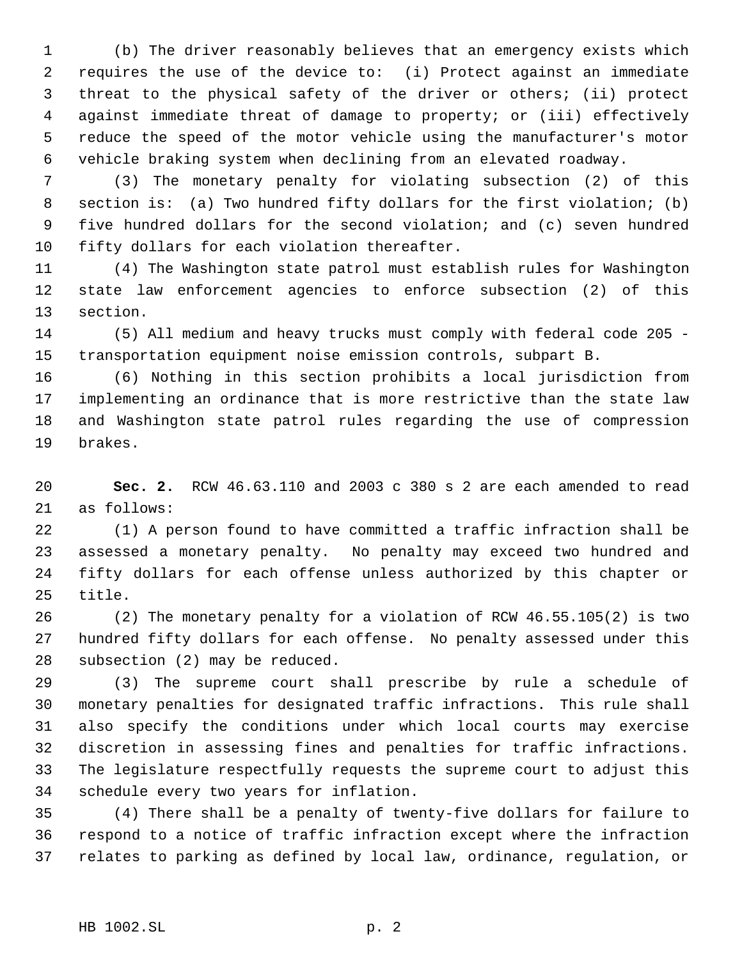(b) The driver reasonably believes that an emergency exists which requires the use of the device to: (i) Protect against an immediate threat to the physical safety of the driver or others; (ii) protect against immediate threat of damage to property; or (iii) effectively reduce the speed of the motor vehicle using the manufacturer's motor vehicle braking system when declining from an elevated roadway.

 (3) The monetary penalty for violating subsection (2) of this section is: (a) Two hundred fifty dollars for the first violation; (b) five hundred dollars for the second violation; and (c) seven hundred fifty dollars for each violation thereafter.

 (4) The Washington state patrol must establish rules for Washington state law enforcement agencies to enforce subsection (2) of this section.

 (5) All medium and heavy trucks must comply with federal code 205 - transportation equipment noise emission controls, subpart B.

 (6) Nothing in this section prohibits a local jurisdiction from implementing an ordinance that is more restrictive than the state law and Washington state patrol rules regarding the use of compression brakes.

 **Sec. 2.** RCW 46.63.110 and 2003 c 380 s 2 are each amended to read as follows:

 (1) A person found to have committed a traffic infraction shall be assessed a monetary penalty. No penalty may exceed two hundred and fifty dollars for each offense unless authorized by this chapter or title.

 (2) The monetary penalty for a violation of RCW 46.55.105(2) is two hundred fifty dollars for each offense. No penalty assessed under this subsection (2) may be reduced.

 (3) The supreme court shall prescribe by rule a schedule of monetary penalties for designated traffic infractions. This rule shall also specify the conditions under which local courts may exercise discretion in assessing fines and penalties for traffic infractions. The legislature respectfully requests the supreme court to adjust this schedule every two years for inflation.

 (4) There shall be a penalty of twenty-five dollars for failure to respond to a notice of traffic infraction except where the infraction relates to parking as defined by local law, ordinance, regulation, or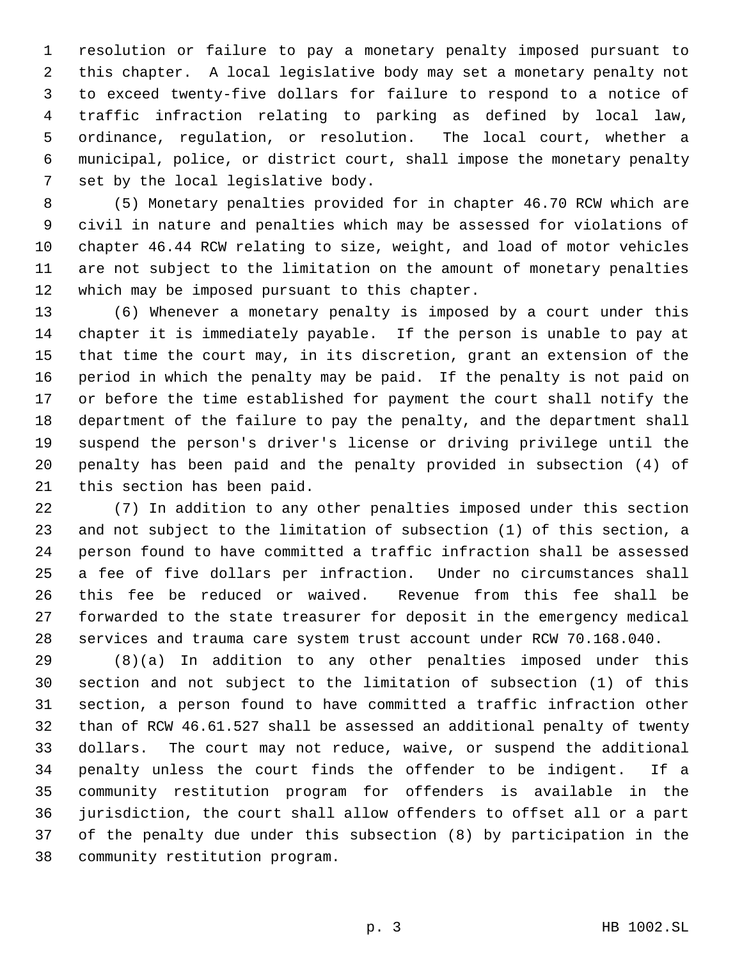resolution or failure to pay a monetary penalty imposed pursuant to this chapter. A local legislative body may set a monetary penalty not to exceed twenty-five dollars for failure to respond to a notice of traffic infraction relating to parking as defined by local law, ordinance, regulation, or resolution. The local court, whether a municipal, police, or district court, shall impose the monetary penalty set by the local legislative body.

 (5) Monetary penalties provided for in chapter 46.70 RCW which are civil in nature and penalties which may be assessed for violations of chapter 46.44 RCW relating to size, weight, and load of motor vehicles are not subject to the limitation on the amount of monetary penalties which may be imposed pursuant to this chapter.

 (6) Whenever a monetary penalty is imposed by a court under this chapter it is immediately payable. If the person is unable to pay at that time the court may, in its discretion, grant an extension of the period in which the penalty may be paid. If the penalty is not paid on or before the time established for payment the court shall notify the department of the failure to pay the penalty, and the department shall suspend the person's driver's license or driving privilege until the penalty has been paid and the penalty provided in subsection (4) of this section has been paid.

 (7) In addition to any other penalties imposed under this section and not subject to the limitation of subsection (1) of this section, a person found to have committed a traffic infraction shall be assessed a fee of five dollars per infraction. Under no circumstances shall this fee be reduced or waived. Revenue from this fee shall be forwarded to the state treasurer for deposit in the emergency medical services and trauma care system trust account under RCW 70.168.040.

 (8)(a) In addition to any other penalties imposed under this section and not subject to the limitation of subsection (1) of this section, a person found to have committed a traffic infraction other than of RCW 46.61.527 shall be assessed an additional penalty of twenty dollars. The court may not reduce, waive, or suspend the additional penalty unless the court finds the offender to be indigent. If a community restitution program for offenders is available in the jurisdiction, the court shall allow offenders to offset all or a part of the penalty due under this subsection (8) by participation in the community restitution program.